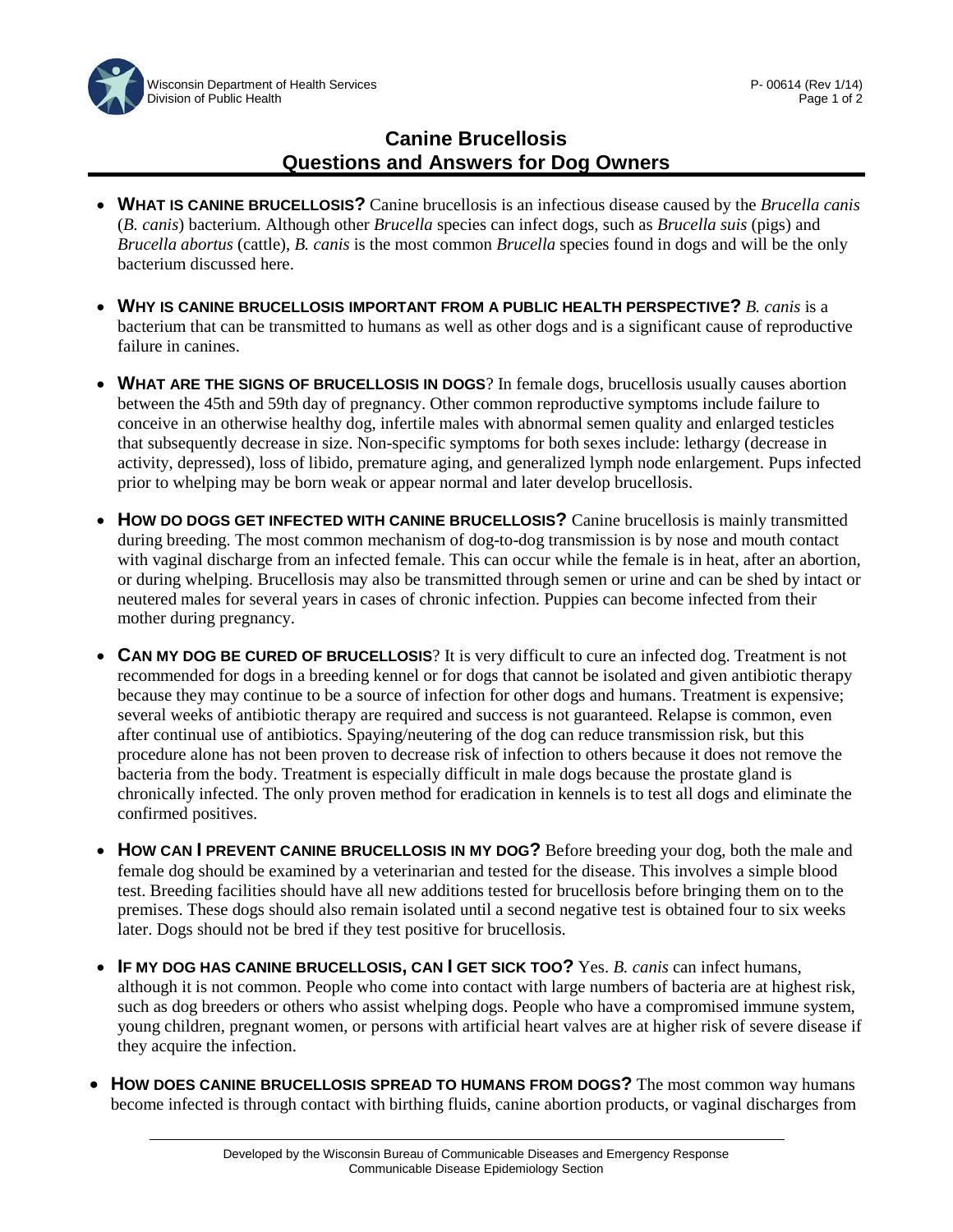## **Canine Brucellosis Questions and Answers for Dog Owners**

- **WHAT IS CANINE BRUCELLOSIS?** Canine brucellosis is an infectious disease caused by the *Brucella canis* (*B. canis*) bacterium. Although other *Brucella* species can infect dogs, such as *Brucella suis* (pigs) and *Brucella abortus* (cattle), *B. canis* is the most common *Brucella* species found in dogs and will be the only bacterium discussed here.
- **WHY IS CANINE BRUCELLOSIS IMPORTANT FROM A PUBLIC HEALTH PERSPECTIVE?** *B. canis* is a bacterium that can be transmitted to humans as well as other dogs and is a significant cause of reproductive failure in canines.
- **WHAT ARE THE SIGNS OF BRUCELLOSIS IN DOGS**? In female dogs, brucellosis usually causes abortion between the 45th and 59th day of pregnancy. Other common reproductive symptoms include failure to conceive in an otherwise healthy dog, infertile males with abnormal semen quality and enlarged testicles that subsequently decrease in size. Non-specific symptoms for both sexes include: lethargy (decrease in activity, depressed), loss of libido, premature aging, and generalized lymph node enlargement. Pups infected prior to whelping may be born weak or appear normal and later develop brucellosis.
- **HOW DO DOGS GET INFECTED WITH CANINE BRUCELLOSIS?** Canine brucellosis is mainly transmitted during breeding. The most common mechanism of dog-to-dog transmission is by nose and mouth contact with vaginal discharge from an infected female. This can occur while the female is in heat, after an abortion, or during whelping. Brucellosis may also be transmitted through semen or urine and can be shed by intact or neutered males for several years in cases of chronic infection. Puppies can become infected from their mother during pregnancy.
- **CAN MY DOG BE CURED OF BRUCELLOSIS**? It is very difficult to cure an infected dog. Treatment is not recommended for dogs in a breeding kennel or for dogs that cannot be isolated and given antibiotic therapy because they may continue to be a source of infection for other dogs and humans. Treatment is expensive; several weeks of antibiotic therapy are required and success is not guaranteed. Relapse is common, even after continual use of antibiotics. Spaying/neutering of the dog can reduce transmission risk, but this procedure alone has not been proven to decrease risk of infection to others because it does not remove the bacteria from the body. Treatment is especially difficult in male dogs because the prostate gland is chronically infected. The only proven method for eradication in kennels is to test all dogs and eliminate the confirmed positives.
- **HOW CAN I PREVENT CANINE BRUCELLOSIS IN MY DOG?** Before breeding your dog, both the male and female dog should be examined by a veterinarian and tested for the disease. This involves a simple blood test. Breeding facilities should have all new additions tested for brucellosis before bringing them on to the premises. These dogs should also remain isolated until a second negative test is obtained four to six weeks later. Dogs should not be bred if they test positive for brucellosis.
- **IF MY DOG HAS CANINE BRUCELLOSIS, CAN I GET SICK TOO?** Yes. *B. canis* can infect humans, although it is not common. People who come into contact with large numbers of bacteria are at highest risk, such as dog breeders or others who assist whelping dogs. People who have a compromised immune system, young children, pregnant women, or persons with artificial heart valves are at higher risk of severe disease if they acquire the infection.
- **HOW DOES CANINE BRUCELLOSIS SPREAD TO HUMANS FROM DOGS?** The most common way humans become infected is through contact with birthing fluids, canine abortion products, or vaginal discharges from